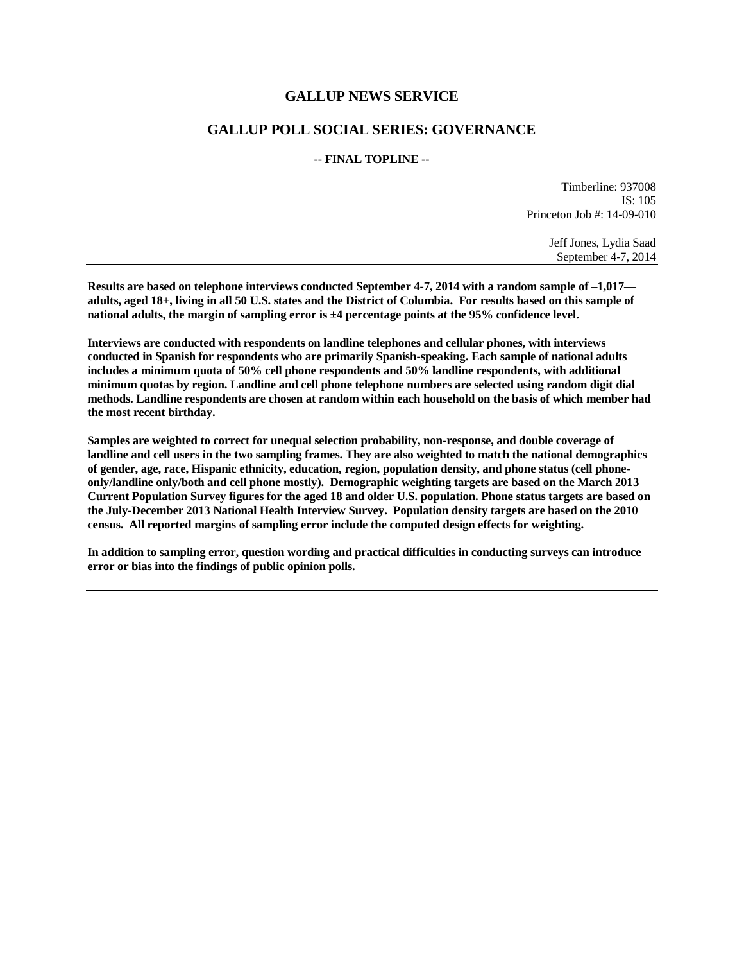## **GALLUP NEWS SERVICE**

## **GALLUP POLL SOCIAL SERIES: GOVERNANCE**

## **-- FINAL TOPLINE --**

Timberline: 937008 IS: 105 Princeton Job #: 14-09-010

> Jeff Jones, Lydia Saad September 4-7, 2014

**Results are based on telephone interviews conducted September 4-7, 2014 with a random sample of –1,017 adults, aged 18+, living in all 50 U.S. states and the District of Columbia. For results based on this sample of national adults, the margin of sampling error is ±4 percentage points at the 95% confidence level.** 

**Interviews are conducted with respondents on landline telephones and cellular phones, with interviews conducted in Spanish for respondents who are primarily Spanish-speaking. Each sample of national adults includes a minimum quota of 50% cell phone respondents and 50% landline respondents, with additional minimum quotas by region. Landline and cell phone telephone numbers are selected using random digit dial methods. Landline respondents are chosen at random within each household on the basis of which member had the most recent birthday.**

**Samples are weighted to correct for unequal selection probability, non-response, and double coverage of landline and cell users in the two sampling frames. They are also weighted to match the national demographics of gender, age, race, Hispanic ethnicity, education, region, population density, and phone status (cell phoneonly/landline only/both and cell phone mostly). Demographic weighting targets are based on the March 2013 Current Population Survey figures for the aged 18 and older U.S. population. Phone status targets are based on the July-December 2013 National Health Interview Survey. Population density targets are based on the 2010 census. All reported margins of sampling error include the computed design effects for weighting.** 

**In addition to sampling error, question wording and practical difficulties in conducting surveys can introduce error or bias into the findings of public opinion polls.**